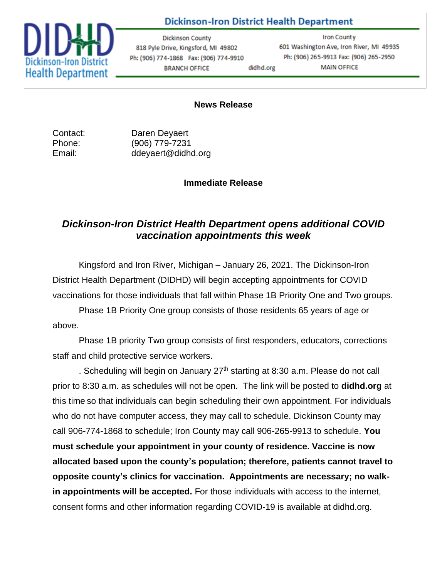## **Dickinson-Iron District Health Department**



**Dickinson County** 818 Pyle Drive, Kingsford, MI 49802 Ph: (906) 774-1868 Fax: (906) 774-9910 **BRANCH OFFICE** didhd.org

**Iron County** 601 Washington Ave, Iron River, MI 49935 Ph: (906) 265-9913 Fax: (906) 265-2950 **MAIN OFFICE** 

## **News Release**

Contact: Daren Deyaert Phone: (906) 779-7231 Email: ddeyaert@didhd.org

## **Immediate Release**

## *Dickinson-Iron District Health Department opens additional COVID vaccination appointments this week*

Kingsford and Iron River, Michigan – January 26, 2021. The Dickinson-Iron District Health Department (DIDHD) will begin accepting appointments for COVID vaccinations for those individuals that fall within Phase 1B Priority One and Two groups.

Phase 1B Priority One group consists of those residents 65 years of age or above.

Phase 1B priority Two group consists of first responders, educators, corrections staff and child protective service workers.

. Scheduling will begin on January  $27<sup>th</sup>$  starting at 8:30 a.m. Please do not call prior to 8:30 a.m. as schedules will not be open. The link will be posted to **didhd.org** at this time so that individuals can begin scheduling their own appointment. For individuals who do not have computer access, they may call to schedule. Dickinson County may call 906-774-1868 to schedule; Iron County may call 906-265-9913 to schedule. **You must schedule your appointment in your county of residence. Vaccine is now allocated based upon the county's population; therefore, patients cannot travel to opposite county's clinics for vaccination. Appointments are necessary; no walkin appointments will be accepted.** For those individuals with access to the internet, consent forms and other information regarding COVID-19 is available at didhd.org.